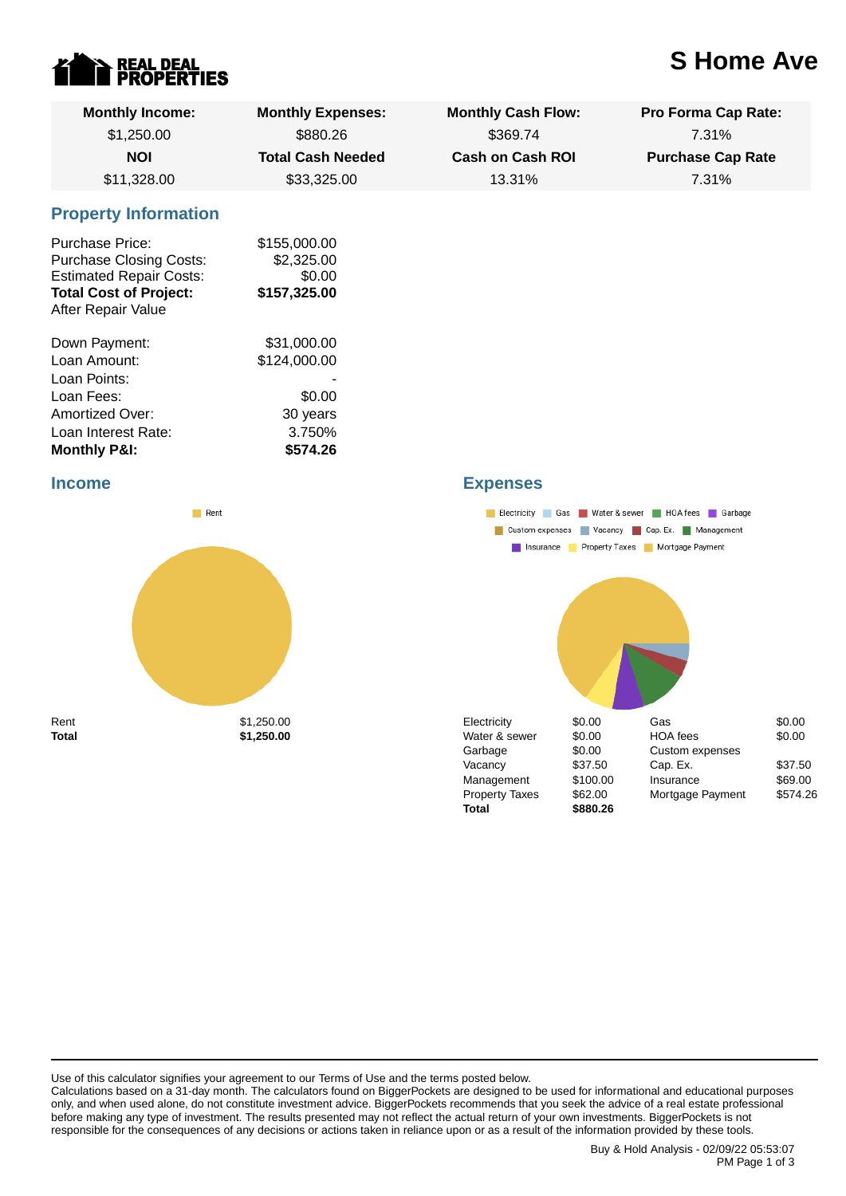

# **S Home Ave**

| <b>Monthly Income:</b>                                                                                                                            | <b>Monthly Expenses:</b>                             | <b>Monthly Cash Flow:</b> | Pro Forma Cap Rate:      |  |  |
|---------------------------------------------------------------------------------------------------------------------------------------------------|------------------------------------------------------|---------------------------|--------------------------|--|--|
| \$1,250.00                                                                                                                                        | \$880.26                                             | \$369.74                  | 7.31%                    |  |  |
| <b>NOI</b>                                                                                                                                        | <b>Total Cash Needed</b>                             | <b>Cash on Cash ROI</b>   | <b>Purchase Cap Rate</b> |  |  |
| \$11,328.00                                                                                                                                       | \$33,325.00                                          | 13.31%                    | 7.31%                    |  |  |
| <b>Property Information</b>                                                                                                                       |                                                      |                           |                          |  |  |
| <b>Purchase Price:</b><br><b>Purchase Closing Costs:</b><br><b>Estimated Repair Costs:</b><br><b>Total Cost of Project:</b><br>After Repair Value | \$155,000.00<br>\$2,325.00<br>\$0.00<br>\$157,325.00 |                           |                          |  |  |
| Down Payment:                                                                                                                                     | \$31,000.00                                          |                           |                          |  |  |
| Loan Amount:                                                                                                                                      | \$124,000.00                                         |                           |                          |  |  |
| Loan Points:                                                                                                                                      |                                                      |                           |                          |  |  |
| Loan Fees:                                                                                                                                        | \$0.00                                               |                           |                          |  |  |
| Amortized Over:                                                                                                                                   | 30 years                                             |                           |                          |  |  |
| Loan Interest Rate:                                                                                                                               | 3.750%                                               |                           |                          |  |  |
| <b>Monthly P&amp;I:</b>                                                                                                                           | \$574.26                                             |                           |                          |  |  |

#### **Income**



## **Expenses**



Use of this calculator signifies your agreement to our Terms of Use and the terms posted below.

Calculations based on a 31-day month. The calculators found on BiggerPockets are designed to be used for informational and educational purposes only, and when used alone, do not constitute investment advice. BiggerPockets recommends that you seek the advice of a real estate professional before making any type of investment. The results presented may not reflect the actual return of your own investments. BiggerPockets is not responsible for the consequences of any decisions or actions taken in reliance upon or as a result of the information provided by these tools.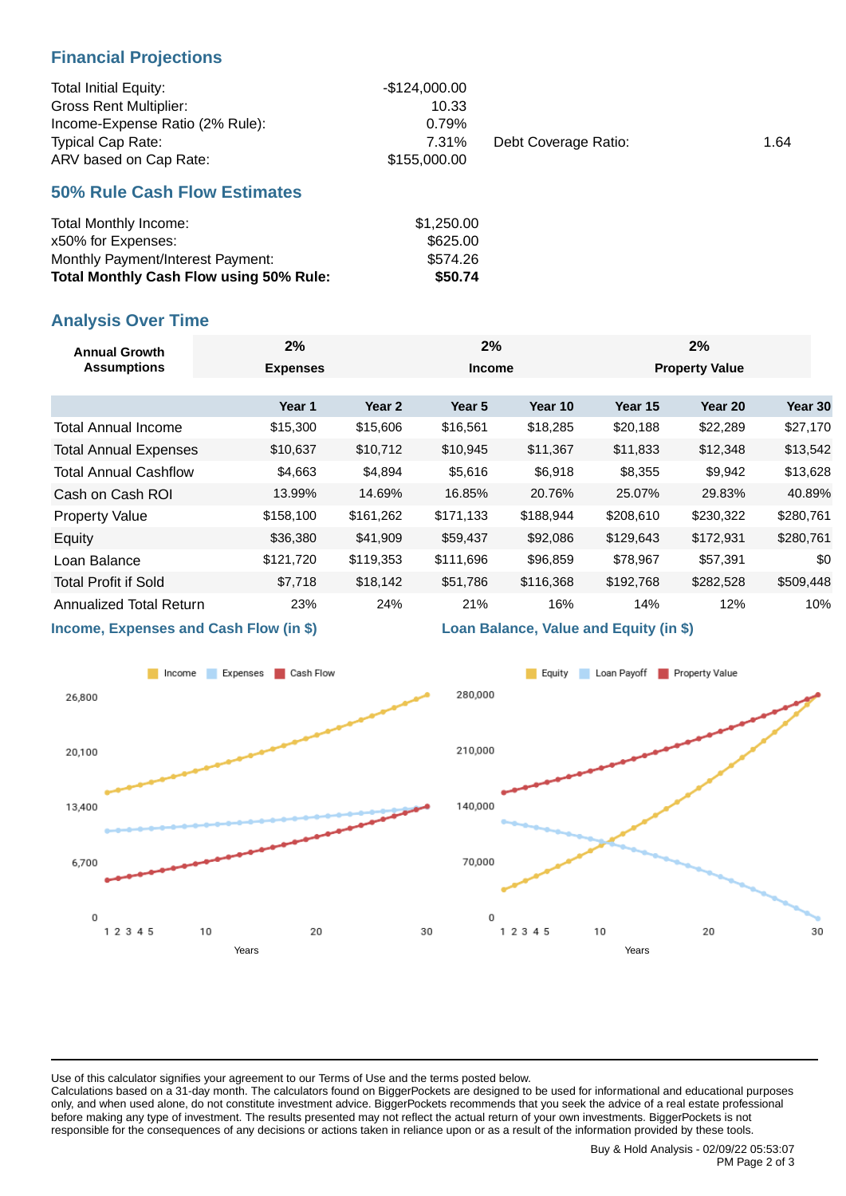### **Financial Projections**

| <b>Total Initial Equity:</b>    | -\$124.000.00 |                      |      |
|---------------------------------|---------------|----------------------|------|
| <b>Gross Rent Multiplier:</b>   | 10.33         |                      |      |
| Income-Expense Ratio (2% Rule): | 0.79%         |                      |      |
| <b>Typical Cap Rate:</b>        | 7.31%         | Debt Coverage Ratio: | 1.64 |
| ARV based on Cap Rate:          | \$155,000.00  |                      |      |

#### **50% Rule Cash Flow Estimates**

| Total Monthly Income:                          | \$1,250.00 |
|------------------------------------------------|------------|
| x50% for Expenses:                             | \$625.00   |
| Monthly Payment/Interest Payment:              | \$574.26   |
| <b>Total Monthly Cash Flow using 50% Rule:</b> | \$50.74    |

### **Analysis Over Time**

| <b>Annual Growth</b><br><b>Assumptions</b> | 2%              |           | 2%        |               |           | 2%                    |           |
|--------------------------------------------|-----------------|-----------|-----------|---------------|-----------|-----------------------|-----------|
|                                            | <b>Expenses</b> |           |           | <b>Income</b> |           | <b>Property Value</b> |           |
|                                            |                 |           |           |               |           |                       |           |
|                                            | Year 1          | Year 2    | Year 5    | Year 10       | Year 15   | Year 20               | Year 30   |
| <b>Total Annual Income</b>                 | \$15,300        | \$15,606  | \$16,561  | \$18,285      | \$20,188  | \$22,289              | \$27,170  |
| <b>Total Annual Expenses</b>               | \$10,637        | \$10,712  | \$10,945  | \$11,367      | \$11,833  | \$12,348              | \$13,542  |
| <b>Total Annual Cashflow</b>               | \$4,663         | \$4,894   | \$5,616   | \$6,918       | \$8,355   | \$9,942               | \$13,628  |
| Cash on Cash ROI                           | 13.99%          | 14.69%    | 16.85%    | 20.76%        | 25.07%    | 29.83%                | 40.89%    |
| <b>Property Value</b>                      | \$158,100       | \$161,262 | \$171,133 | \$188,944     | \$208,610 | \$230,322             | \$280,761 |
| Equity                                     | \$36,380        | \$41,909  | \$59,437  | \$92,086      | \$129,643 | \$172,931             | \$280,761 |
| Loan Balance                               | \$121,720       | \$119,353 | \$111,696 | \$96,859      | \$78,967  | \$57,391              | \$0       |
| <b>Total Profit if Sold</b>                | \$7,718         | \$18,142  | \$51,786  | \$116,368     | \$192,768 | \$282,528             | \$509,448 |
| Annualized Total Return                    | 23%             | 24%       | 21%       | 16%           | 14%       | 12%                   | 10%       |
|                                            |                 |           |           |               |           |                       |           |

**Income, Expenses and Cash Flow (in \$)**



#### **Loan Balance, Value and Equity (in \$)**



Use of this calculator signifies your agreement to our Terms of Use and the terms posted below.

Calculations based on a 31-day month. The calculators found on BiggerPockets are designed to be used for informational and educational purposes only, and when used alone, do not constitute investment advice. BiggerPockets recommends that you seek the advice of a real estate professional before making any type of investment. The results presented may not reflect the actual return of your own investments. BiggerPockets is not responsible for the consequences of any decisions or actions taken in reliance upon or as a result of the information provided by these tools.